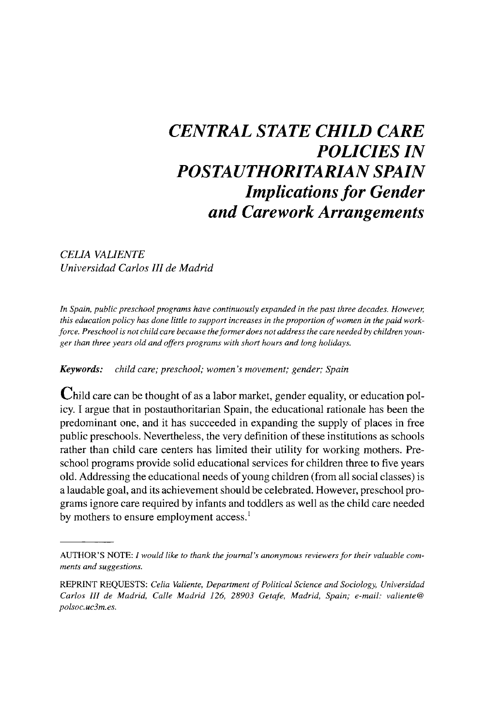# **CENTRAL STATE CHILD CARE POLICIES IN POSTAUTHORITARIAN SPAIN Implications for Gender and Carework Arrangements**

**CELIA VALIENTE Universidad Carlos III de Madrid** 

**In Spain, public preschool programs have continuously expanded in the past three decades. However, this education policy has done little to support increases in the proportion of women in the paid workforce. Preschool is not child care because theformer does not address the care needed by children younger than three years old and offers programs with short hours and long holidays.** 

**Keywords: child care; preschool; women's movement; gender; Spain** 

**Child care can be thought of as a labor market, gender equality, or education policy. I argue that in postauthoritarian Spain, the educational rationale has been the predominant one, and it has succeeded in expanding the supply of places in free public preschools. Nevertheless, the very definition of these institutions as schools rather than child care centers has limited their utility for working mothers. Preschool programs provide solid educational services for children three to five years old. Addressing the educational needs of young children (from all social classes) is a laudable goal, and its achievement should be celebrated. However, preschool programs ignore care required by infants and toddlers as well as the child care needed by mothers to ensure employment access.1** 

**AUTHOR'S NOTE: I would like to thank the journal's anonymous reviewers for their valuable comments and suggestions.** 

**REPRINT REQUESTS: Celia Valiente, Department of Political Science and Sociology, Universidad Carlos III de Madrid, Calle Madrid 126, 28903 Getafe, Madrid, Spain; e-mail: valiente@ polsoc. uc3m.es.**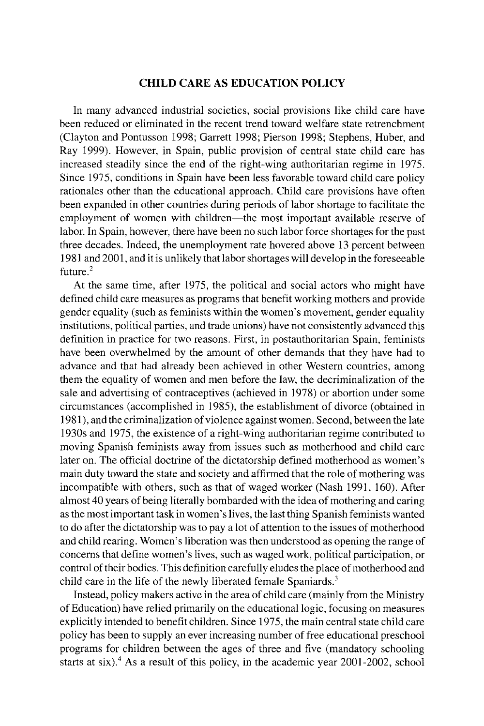## **CHIID CARE AS EDUCATION POLICY**

**In many advanced industrial societies, social provisions like child care have been reduced or eliminated in the recent trend toward welfare state retrenchment (Clayton and Pontusson 1998; Garrett 1998; Pierson 1998; Stephens, Huber, and Ray 1999). However, in Spain, public provision of central state child care has increased steadily since the end of the right-wing authoritarian regime in 1975. Since 1975, conditions in Spain have been less favorable toward child care policy rationales other than the educational approach. Child care provisions have often been expanded in other countries during periods of labor shortage to facilitate the**  employment of women with children—the most important available reserve of **labor. In Spain, however, there have been no such labor force shortages for the past three decades. Indeed, the unemployment rate hovered above 13 percent between 1981 and 2001, and it is unlikely that labor shortages will develop in the foreseeable future.2** 

**At the same time, after 1975, the political and social actors who might have defined child care measures as programs that benefit working mothers and provide gender equality (such as feminists within the women's movement, gender equality institutions, political parties, and trade unions) have not consistently advanced this definition in practice for two reasons. First, in postauthoritarian Spain, feminists have been overwhelmed by the amount of other demands that they have had to advance and that had already been achieved in other Western countries, among them the equality of women and men before the law, the decriminalization of the sale and advertising of contraceptives (achieved in 1978) or abortion under some circumstances (accomplished in 1985), the establishment of divorce (obtained in 1981), and the criminalization of violence against women. Second, between the late 1930s and 1975, the existence of a right-wing authoritarian regime contributed to moving Spanish feminists away from issues such as motherhood and child care later on. The official doctrine of the dictatorship defined motherhood as women's main duty toward the state and society and affirmed that the role of mothering was incompatible with others, such as that of waged worker (Nash 1991, 160). After almost 40 years of being literally bombarded with the idea of mothering and caring as the most important task in women's lives, the last thing Spanish feminists wanted to do after the dictatorship was to pay a lot of attention to the issues of motherhood and child rearing. Women's liberation was then understood as opening the range of concerns that define women's lives, such as waged work, political participation, or control of their bodies. This definition carefully eludes the place of motherhood and child care in the life of the newly liberated female Spaniards.3** 

**Instead, policy makers active in the area of child care (mainly from the Ministry of Education) have relied primarily on the educational logic, focusing on measures explicitly intended to benefit children. Since 1975, the main central state child care policy has been to supply an ever increasing number of free educational preschool programs for children between the ages of three and five (mandatory schooling**  starts at six).<sup>4</sup> As a result of this policy, in the academic year 2001-2002, school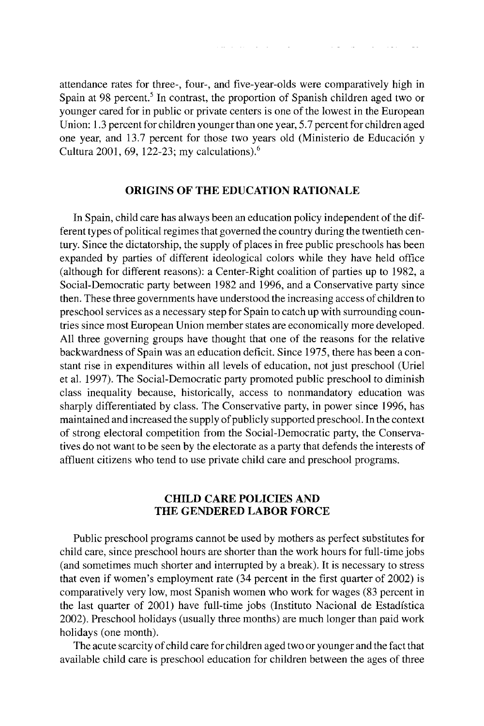**attendance rates for three-, four-, and five-year-olds were comparatively high in**  Spain at 98 percent.<sup>5</sup> In contrast, the proportion of Spanish children aged two or **younger cared for in public or private centers is one of the lowest in the European Union: 1.3 percent for children younger than one year, 5.7 percent for children aged**  one year, and 13.7 percent for those two years old (Ministerio de Educación y **Cultura 2001, 69, 122-23; my calculations).6** 

### **ORIGINS OF THE EDUCATION RATIONALE**

**In Spain, child care has always been an education policy independent of the different types of political regimes that governed the country during the twentieth century. Since the dictatorship, the supply of places in free public preschools has been expanded by parties of different ideological colors while they have held office (although for different reasons): a Center-Right coalition of parties up to 1982, a Social-Democratic party between 1982 and 1996, and a Conservative party since then. These three governments have understood the increasing access of children to preschool services as a necessary step for Spain to catch up with surrounding countries since most European Union member states are economically more developed. All three governing groups have thought that one of the reasons for the relative backwardness of Spain was an education deficit. Since 1975, there has been a constant rise in expenditures within all levels of education, not just preschool (Uriel et al. 1997). The Social-Democratic party promoted public preschool to diminish class inequality because, historically, access to nonmandatory education was sharply differentiated by class. The Conservative party, in power since 1996, has maintained and increased the supply of publicly supported preschool. In the context of strong electoral competition from the Social-Democratic party, the Conservatives do not want to be seen by the electorate as a party that defends the interests of affluent citizens who tend to use private child care and preschool programs.** 

## **CHILD CARE POLICIES AND THE GENDERED LABOR FORCE**

**Public preschool programs cannot be used by mothers as perfect substitutes for child care, since preschool hours are shorter than the work hours for full-time jobs (and sometimes much shorter and interrupted by a break). It is necessary to stress that even if women's employment rate (34 percent in the first quarter of 2002) is comparatively very low, most Spanish women who work for wages (83 percent in the last quarter of 2001) have full-time jobs (Instituto Nacional de Estadistica 2002). Preschool holidays (usually three months) are much longer than paid work holidays (one month).** 

**The acute scarcity of child care for children aged two or younger and the fact that available child care is preschool education for children between the ages of three**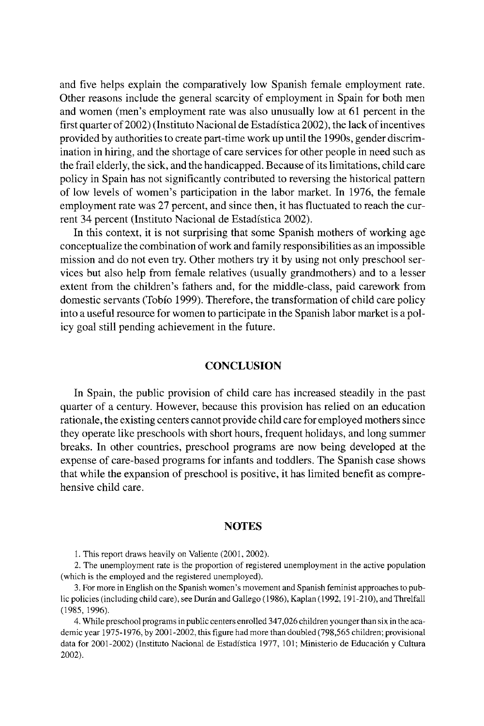**and five helps explain the comparatively low Spanish female employment rate. Other reasons include the general scarcity of employment in Spain for both men and women (men's employment rate was also unusually low at 61 percent in the first quarter of 2002) (Instituto Nacional de Estadistica 2002), the lack of incentives provided by authorities to create part-time work up until the 1990s, gender discrimination in hiring, and the shortage of care services for other people in need such as the frail elderly, the sick, and the handicapped. Because of its limitations, child care policy in Spain has not significantly contributed to reversing the historical pattern of low levels of women's participation in the labor market. In 1976, the female employment rate was 27 percent, and since then, it has fluctuated to reach the current 34 percent (Instituto Nacional de Estadistica 2002).** 

**In this context, it is not surprising that some Spanish mothers of working age conceptualize the combination of work and family responsibilities as an impossible mission and do not even try. Other mothers try it by using not only preschool services but also help from female relatives (usually grandmothers) and to a lesser extent from the children's fathers and, for the middle-class, paid carework from domestic servants (Tobio 1999). Therefore, the transformation of child care policy into a useful resource for women to participate in the Spanish labor market is a policy goal still pending achievement in the future.** 

## **CONCLUSION**

**In Spain, the public provision of child care has increased steadily in the past quarter of a century. However, because this provision has relied on an education rationale, the existing centers cannot provide child care for employed mothers since they operate like preschools with short hours, frequent holidays, and long summer breaks. In other countries, preschool programs are now being developed at the expense of care-based programs for infants and toddlers. The Spanish case shows that while the expansion of preschool is positive, it has limited benefit as comprehensive child care.** 

### **NOTES**

**1. This report draws heavily on Valiente (2001, 2002).** 

**2. The unemployment rate is the proportion of registered unemployment in the active population (which is the employed and the registered unemployed).** 

**3. For more in English on the Spanish women's movement and Spanish feminist approaches to public policies (including child care), see Duran and Gallego (1986), Kaplan (1992, 191-210), and Threlfall (1985, 1996).** 

**4. While preschool programs in public centers enrolled 347,026 children younger than six in the academic year 1975-1976, by 2001-2002, this figure had more than doubled (798,565 children; provisional data for 2001-2002) (Instituto Nacional de Estadistica 1977, 101; Ministerio de Educaci6n y Cultura 2002).**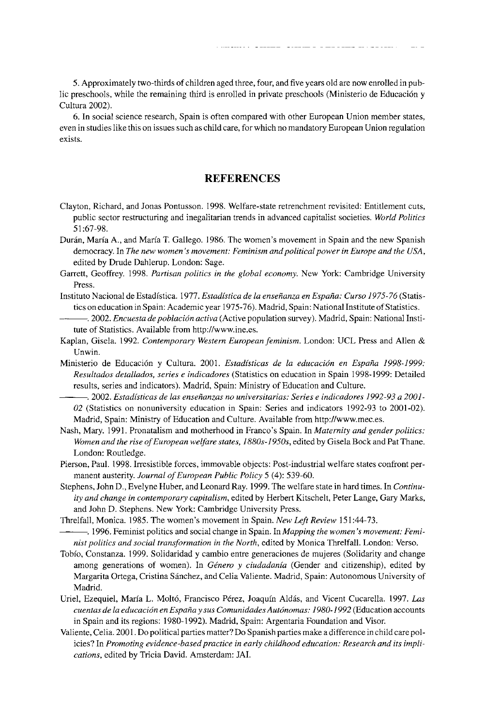**5. Approximately two-thirds of children aged three, four, and five years old are now enrolled in public preschools, while the remaining third is enrolled in private preschools (Ministerio de Educaci6n y Cultura 2002).** 

**Valiente / CHILD CARE POLICIES IN SPAIN 291** 

**6. In social science research, Spain is often compared with other European Union member states, even in studies like this on issues such as child care, for which no mandatory European Union regulation exists.** 

## **REFERENCES**

- **Clayton, Richard, and Jonas Pontusson. 1998. Welfare-state retrenchment revisited: Entitlement cuts, public sector restructuring and inegalitarian trends in advanced capitalist societies. World Politics 51:67-98.**
- **Duran, Maria A., and Maria T. Gallego. 1986. The women's movement in Spain and the new Spanish democracy. In The new women's movement: Feminism and political power in Europe and the USA, edited by Drude Dahlerup. London: Sage.**
- **Garrett, Geoffrey. 1998. Partisan politics in the global economy. New York: Cambridge University Press.**
- **Instituto Nacional de Estadistica. 1977. Estadistica de la enseianza en Espaha: Curso 1975-76 (Statistics on education in Spain: Academic year 1975-76). Madrid, Spain: National Institute of Statistics.**
- **.2002. Encuesta de poblaci6n activa (Active population survey). Madrid, Spain: National Institute of Statistics. Available from http://www.ine.es.**
- **Kaplan, Gisela. 1992. Contemporary Western European feminism. London: UCL Press and Allen & Unwin.**
- **Ministerio de Educaci6n y Cultura. 2001. Estadisticas de la educacion en Espana 1998-1999: Resultados detallados, series e indicadores (Statistics on education in Spain 1998-1999: Detailed results, series and indicators). Madrid, Spain: Ministry of Education and Culture.**
- **. 2002. Estadisticas de las ensenianzas no universitarias: Series e indicadores 1992-93 a 2001- 02 (Statistics on nonuniversity education in Spain: Series and indicators 1992-93 to 2001-02). Madrid, Spain: Ministry of Education and Culture. Available from http://www.mec.es.**
- **Nash, Mary. 1991. Pronatalism and motherhood in Franco's Spain. In Maternity and gender politics: Women and the rise of European welfare states, 1880s-1950s, edited by Gisela Bock and Pat Thane. London: Routledge.**
- **Pierson, Paul. 1998. Irresistible forces, immovable objects: Post-industrial welfare states confront permanent austerity. Journal of European Public Policy 5 (4): 539-60.**
- **Stephens, John D., Evelyne Huber, and Leonard Ray. 1999. The welfare state in hard times. In Continuity and change in contemporary capitalism, edited by Herbert Kitschelt, Peter Lange, Gary Marks, and John D. Stephens. New York: Cambridge University Press.**
- **Threlfall, Monica. 1985. The women's movement in Spain. New Left Review 151:44-73.**

**.1996. Feminist politics and social change in Spain. In Mapping the women's movement: Feminist politics and social transformation in the North, edited by Monica Threlfall. London: Verso.** 

- **Tobio, Constanza. 1999. Solidaridad y cambio entre generaciones de mujeres (Solidarity and change**  among generations of women). In Género y ciudadanía (Gender and citizenship), edited by **Margarita Ortega, Cristina Sanchez, and Celia Valiente. Madrid, Spain: Autonomous University of Madrid.**
- **Uriel, Ezequiel, Maria L. Molt6, Francisco Perez, Joaquin Aldas, and Vicent Cucarella. 1997. Las cuentas de la educacion en Espana y sus ComunidadesAutonomas: 1980-1992 (Education accounts in Spain and its regions: 1980-1992). Madrid, Spain: Argentaria Foundation and Visor.**
- **Valiente, Celia. 2001. Do political parties matter? Do Spanish parties make a difference in child care policies? In Promoting evidence-based practice in early childhood education: Research and its implications, edited by Tricia David. Amsterdam: JAI.**